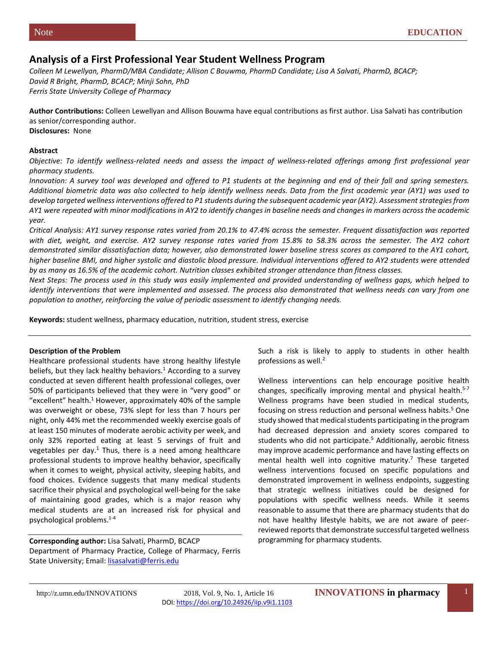# **Analysis of a First Professional Year Student Wellness Program**

*Colleen M Lewellyan, PharmD/MBA Candidate; Allison C Bouwma, PharmD Candidate; Lisa A Salvati, PharmD, BCACP; David R Bright, PharmD, BCACP; Minji Sohn, PhD Ferris State University College of Pharmacy*

**Author Contributions:** Colleen Lewellyan and Allison Bouwma have equal contributions as first author. Lisa Salvati has contribution as senior/corresponding author.

**Disclosures:** None

# **Abstract**

*Objective: To identify wellness-related needs and assess the impact of wellness-related offerings among first professional year pharmacy students.*

*Innovation: A survey tool was developed and offered to P1 students at the beginning and end of their fall and spring semesters. Additional biometric data was also collected to help identify wellness needs. Data from the first academic year (AY1) was used to develop targeted wellness interventions offered to P1 students during the subsequent academic year (AY2). Assessment strategies from AY1 were repeated with minor modifications in AY2 to identify changes in baseline needs and changes in markers across the academic year.*

*Critical Analysis: AY1 survey response rates varied from 20.1% to 47.4% across the semester. Frequent dissatisfaction was reported with diet, weight, and exercise. AY2 survey response rates varied from 15.8% to 58.3% across the semester. The AY2 cohort demonstrated similar dissatisfaction data; however, also demonstrated lower baseline stress scores as compared to the AY1 cohort, higher baseline BMI, and higher systolic and diastolic blood pressure. Individual interventions offered to AY2 students were attended by as many as 16.5% of the academic cohort. Nutrition classes exhibited stronger attendance than fitness classes.*

*Next Steps: The process used in this study was easily implemented and provided understanding of wellness gaps, which helped to identify interventions that were implemented and assessed. The process also demonstrated that wellness needs can vary from one population to another, reinforcing the value of periodic assessment to identify changing needs.*

**Keywords:** student wellness, pharmacy education, nutrition, student stress, exercise

# **Description of the Problem**

Healthcare professional students have strong healthy lifestyle beliefs, but they lack healthy behaviors. $<sup>1</sup>$  According to a survey</sup> conducted at seven different health professional colleges, over 50% of participants believed that they were in "very good" or "excellent" health.<sup>1</sup> However, approximately 40% of the sample was overweight or obese, 73% slept for less than 7 hours per night, only 44% met the recommended weekly exercise goals of at least 150 minutes of moderate aerobic activity per week, and only 32% reported eating at least 5 servings of fruit and vegetables per day. $1$  Thus, there is a need among healthcare professional students to improve healthy behavior, specifically when it comes to weight, physical activity, sleeping habits, and food choices. Evidence suggests that many medical students sacrifice their physical and psychological well-being for the sake of maintaining good grades, which is a major reason why medical students are at an increased risk for physical and psychological problems.1-4

**Corresponding author:** Lisa Salvati, PharmD, BCACP Department of Pharmacy Practice, College of Pharmacy, Ferris State University; Email[: lisasalvati@ferris.edu](mailto:lisasalvati@ferris.edu)

Such a risk is likely to apply to students in other health professions as well.<sup>2</sup>

Wellness interventions can help encourage positive health changes, specifically improving mental and physical health.<sup>5-7</sup> Wellness programs have been studied in medical students, focusing on stress reduction and personal wellness habits.<sup>5</sup> One study showed that medical students participating in the program had decreased depression and anxiety scores compared to students who did not participate.<sup>5</sup> Additionally, aerobic fitness may improve academic performance and have lasting effects on mental health well into cognitive maturity.<sup>7</sup> These targeted wellness interventions focused on specific populations and demonstrated improvement in wellness endpoints, suggesting that strategic wellness initiatives could be designed for populations with specific wellness needs. While it seems reasonable to assume that there are pharmacy students that do not have healthy lifestyle habits, we are not aware of peerreviewed reports that demonstrate successful targeted wellness programming for pharmacy students.

http://z.umn.edu/INNOVATIONS 2018, Vol. 9, No. 1, Article 16 **INNOVATIONS in pharmacy**DOI[: https://doi.org/10.24926/iip.v9i1.1103](https://doi.org/10.24926/iip.v9i1.1103)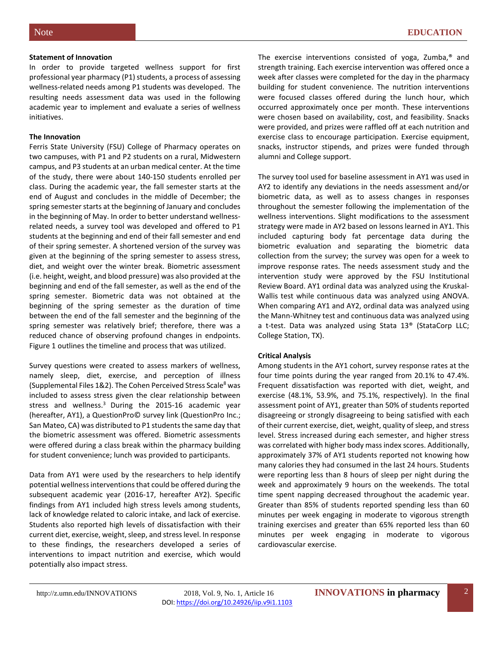#### **Statement of Innovation**

In order to provide targeted wellness support for first professional year pharmacy (P1) students, a process of assessing wellness-related needs among P1 students was developed. The resulting needs assessment data was used in the following academic year to implement and evaluate a series of wellness initiatives.

## **The Innovation**

Ferris State University (FSU) College of Pharmacy operates on two campuses, with P1 and P2 students on a rural, Midwestern campus, and P3 students at an urban medical center. At the time of the study, there were about 140-150 students enrolled per class. During the academic year, the fall semester starts at the end of August and concludes in the middle of December; the spring semester starts at the beginning of January and concludes in the beginning of May. In order to better understand wellnessrelated needs, a survey tool was developed and offered to P1 students at the beginning and end of their fall semester and end of their spring semester. A shortened version of the survey was given at the beginning of the spring semester to assess stress, diet, and weight over the winter break. Biometric assessment (i.e. height, weight, and blood pressure) was also provided at the beginning and end of the fall semester, as well as the end of the spring semester. Biometric data was not obtained at the beginning of the spring semester as the duration of time between the end of the fall semester and the beginning of the spring semester was relatively brief; therefore, there was a reduced chance of observing profound changes in endpoints. Figure 1 outlines the timeline and process that was utilized.

Survey questions were created to assess markers of wellness, namely sleep, diet, exercise, and perception of illness (Supplemental Files 1&2). The Cohen Perceived Stress Scale<sup>8</sup> was included to assess stress given the clear relationship between stress and wellness.<sup>3</sup> During the 2015-16 academic year (hereafter, AY1), a QuestionPro© survey link (QuestionPro Inc.; San Mateo, CA) was distributed to P1 students the same day that the biometric assessment was offered. Biometric assessments were offered during a class break within the pharmacy building for student convenience; lunch was provided to participants.

Data from AY1 were used by the researchers to help identify potential wellness interventions that could be offered during the subsequent academic year (2016-17, hereafter AY2). Specific findings from AY1 included high stress levels among students, lack of knowledge related to caloric intake, and lack of exercise. Students also reported high levels of dissatisfaction with their current diet, exercise, weight, sleep, and stress level. In response to these findings, the researchers developed a series of interventions to impact nutrition and exercise, which would potentially also impact stress.

The exercise interventions consisted of yoga, Zumba,® and strength training. Each exercise intervention was offered once a week after classes were completed for the day in the pharmacy building for student convenience. The nutrition interventions were focused classes offered during the lunch hour, which occurred approximately once per month. These interventions were chosen based on availability, cost, and feasibility. Snacks were provided, and prizes were raffled off at each nutrition and exercise class to encourage participation. Exercise equipment, snacks, instructor stipends, and prizes were funded through alumni and College support.

The survey tool used for baseline assessment in AY1 was used in AY2 to identify any deviations in the needs assessment and/or biometric data, as well as to assess changes in responses throughout the semester following the implementation of the wellness interventions. Slight modifications to the assessment strategy were made in AY2 based on lessons learned in AY1. This included capturing body fat percentage data during the biometric evaluation and separating the biometric data collection from the survey; the survey was open for a week to improve response rates. The needs assessment study and the intervention study were approved by the FSU Institutional Review Board. AY1 ordinal data was analyzed using the Kruskal-Wallis test while continuous data was analyzed using ANOVA. When comparing AY1 and AY2, ordinal data was analyzed using the Mann-Whitney test and continuous data was analyzed using a t-test. Data was analyzed using Stata 13® (StataCorp LLC; College Station, TX).

## **Critical Analysis**

Among students in the AY1 cohort, survey response rates at the four time points during the year ranged from 20.1% to 47.4%. Frequent dissatisfaction was reported with diet, weight, and exercise (48.1%, 53.9%, and 75.1%, respectively). In the final assessment point of AY1, greater than 50% of students reported disagreeing or strongly disagreeing to being satisfied with each of their current exercise, diet, weight, quality of sleep, and stress level. Stress increased during each semester, and higher stress was correlated with higher body mass index scores. Additionally, approximately 37% of AY1 students reported not knowing how many calories they had consumed in the last 24 hours. Students were reporting less than 8 hours of sleep per night during the week and approximately 9 hours on the weekends. The total time spent napping decreased throughout the academic year. Greater than 85% of students reported spending less than 60 minutes per week engaging in moderate to vigorous strength training exercises and greater than 65% reported less than 60 minutes per week engaging in moderate to vigorous cardiovascular exercise.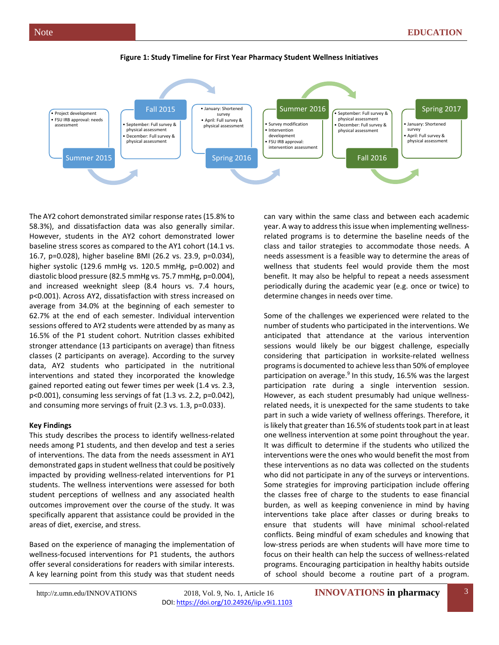

#### **Figure 1: Study Timeline for First Year Pharmacy Student Wellness Initiatives**

The AY2 cohort demonstrated similar response rates (15.8% to 58.3%), and dissatisfaction data was also generally similar. However, students in the AY2 cohort demonstrated lower baseline stress scores as compared to the AY1 cohort (14.1 vs. 16.7, p=0.028), higher baseline BMI (26.2 vs. 23.9, p=0.034), higher systolic (129.6 mmHg vs. 120.5 mmHg, p=0.002) and diastolic blood pressure (82.5 mmHg vs. 75.7 mmHg, p=0.004), and increased weeknight sleep (8.4 hours vs. 7.4 hours, p<0.001). Across AY2, dissatisfaction with stress increased on average from 34.0% at the beginning of each semester to 62.7% at the end of each semester. Individual intervention sessions offered to AY2 students were attended by as many as 16.5% of the P1 student cohort. Nutrition classes exhibited stronger attendance (13 participants on average) than fitness classes (2 participants on average). According to the survey data, AY2 students who participated in the nutritional interventions and stated they incorporated the knowledge gained reported eating out fewer times per week (1.4 vs. 2.3, p<0.001), consuming less servings of fat (1.3 vs. 2.2, p=0.042), and consuming more servings of fruit (2.3 vs. 1.3, p=0.033).

## **Key Findings**

This study describes the process to identify wellness-related needs among P1 students, and then develop and test a series of interventions. The data from the needs assessment in AY1 demonstrated gaps in student wellness that could be positively impacted by providing wellness-related interventions for P1 students. The wellness interventions were assessed for both student perceptions of wellness and any associated health outcomes improvement over the course of the study. It was specifically apparent that assistance could be provided in the areas of diet, exercise, and stress.

Based on the experience of managing the implementation of wellness-focused interventions for P1 students, the authors offer several considerations for readers with similar interests. A key learning point from this study was that student needs can vary within the same class and between each academic year. A way to address this issue when implementing wellnessrelated programs is to determine the baseline needs of the class and tailor strategies to accommodate those needs. A needs assessment is a feasible way to determine the areas of wellness that students feel would provide them the most benefit. It may also be helpful to repeat a needs assessment periodically during the academic year (e.g. once or twice) to determine changes in needs over time.

Some of the challenges we experienced were related to the number of students who participated in the interventions. We anticipated that attendance at the various intervention sessions would likely be our biggest challenge, especially considering that participation in worksite-related wellness programs is documented to achieve less than 50% of employee participation on average.<sup>9</sup> In this study, 16.5% was the largest participation rate during a single intervention session. However, as each student presumably had unique wellnessrelated needs, it is unexpected for the same students to take part in such a wide variety of wellness offerings. Therefore, it is likely that greater than 16.5% of students took part in at least one wellness intervention at some point throughout the year. It was difficult to determine if the students who utilized the interventions were the ones who would benefit the most from these interventions as no data was collected on the students who did not participate in any of the surveys or interventions. Some strategies for improving participation include offering the classes free of charge to the students to ease financial burden, as well as keeping convenience in mind by having interventions take place after classes or during breaks to ensure that students will have minimal school-related conflicts. Being mindful of exam schedules and knowing that low-stress periods are when students will have more time to focus on their health can help the success of wellness-related programs. Encouraging participation in healthy habits outside of school should become a routine part of a program.